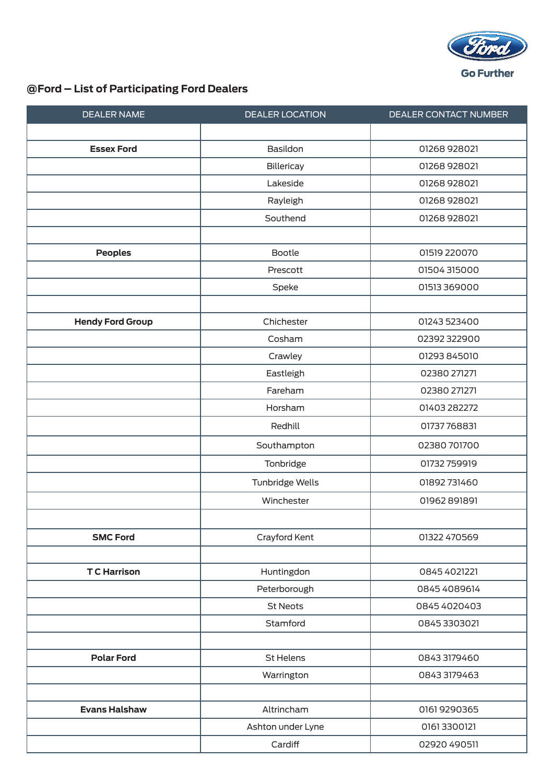

## **@Ford – List of Participating Ford Dealers**

| <b>DEALER NAME</b>      | <b>DEALER LOCATION</b> | DEALER CONTACT NUMBER |
|-------------------------|------------------------|-----------------------|
|                         |                        |                       |
| <b>Essex Ford</b>       | Basildon               | 01268 928021          |
|                         | Billericay             | 01268 928021          |
|                         | Lakeside               | 01268 928021          |
|                         | Rayleigh               | 01268 928021          |
|                         | Southend               | 01268 928021          |
|                         |                        |                       |
| <b>Peoples</b>          | Bootle                 | 01519 220070          |
|                         | Prescott               | 01504315000           |
|                         | Speke                  | 01513 369000          |
|                         |                        |                       |
| <b>Hendy Ford Group</b> | Chichester             | 01243 523400          |
|                         | Cosham                 | 02392322900           |
|                         | Crawley                | 01293 845010          |
|                         | Eastleigh              | 02380 271271          |
|                         | Fareham                | 02380 271271          |
|                         | Horsham                | 01403 282272          |
|                         | Redhill                | 01737768831           |
|                         | Southampton            | 02380701700           |
|                         | Tonbridge              | 01732 759919          |
|                         | Tunbridge Wells        | 01892 731460          |
|                         | Winchester             | 01962 891891          |
|                         |                        |                       |
| <b>SMC Ford</b>         | Crayford Kent          | 01322 470569          |
|                         |                        |                       |
| <b>TC</b> Harrison      | Huntingdon             | 0845 4021221          |
|                         | Peterborough           | 0845 4089614          |
|                         | <b>St Neots</b>        | 0845 4020403          |
|                         | Stamford               | 0845 3303021          |
|                         |                        |                       |
| <b>Polar Ford</b>       | St Helens              | 08433179460           |
|                         | Warrington             | 0843 3179463          |
|                         |                        |                       |
| <b>Evans Halshaw</b>    | Altrincham             | 0161 9290365          |
|                         | Ashton under Lyne      | 01613300121           |
|                         | Cardiff                | 02920 490511          |